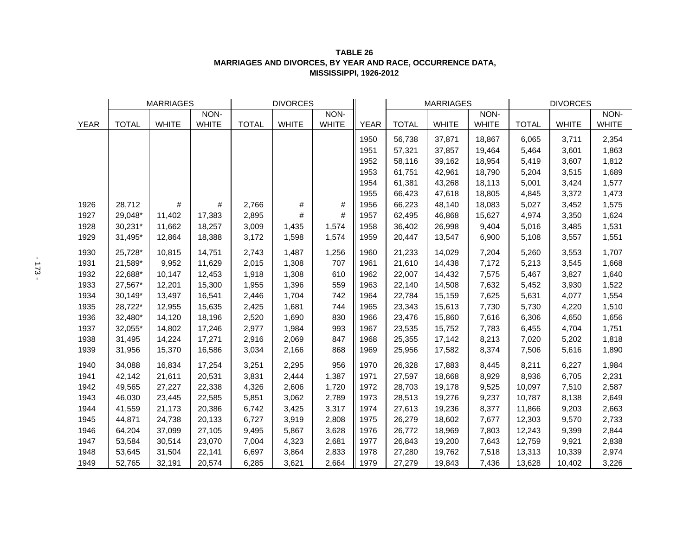| TABLE 26                                                   |
|------------------------------------------------------------|
| MARRIAGES AND DIVORCES. BY YEAR AND RACE. OCCURRENCE DATA. |
| <b>MISSISSIPPI, 1926-2012</b>                              |

|             | <b>MARRIAGES</b> |              |              | <b>DIVORCES</b> |              |              |             | <b>MARRIAGES</b> |              |              | <b>DIVORCES</b> |              |              |
|-------------|------------------|--------------|--------------|-----------------|--------------|--------------|-------------|------------------|--------------|--------------|-----------------|--------------|--------------|
|             |                  |              | NON-         |                 |              | NON-         |             |                  |              | NON-         |                 |              | NON-         |
| <b>YEAR</b> | <b>TOTAL</b>     | <b>WHITE</b> | <b>WHITE</b> | <b>TOTAL</b>    | <b>WHITE</b> | <b>WHITE</b> | <b>YEAR</b> | <b>TOTAL</b>     | <b>WHITE</b> | <b>WHITE</b> | <b>TOTAL</b>    | <b>WHITE</b> | <b>WHITE</b> |
|             |                  |              |              |                 |              |              | 1950        | 56,738           | 37,871       | 18,867       | 6,065           | 3,711        | 2,354        |
|             |                  |              |              |                 |              |              | 1951        | 57,321           | 37,857       | 19,464       | 5,464           | 3,601        | 1,863        |
|             |                  |              |              |                 |              |              | 1952        | 58,116           | 39,162       | 18,954       | 5,419           | 3,607        | 1,812        |
|             |                  |              |              |                 |              |              | 1953        | 61,751           | 42,961       | 18,790       | 5,204           | 3,515        | 1,689        |
|             |                  |              |              |                 |              |              | 1954        | 61,381           | 43,268       | 18,113       | 5,001           | 3,424        | 1,577        |
|             |                  |              |              |                 |              |              | 1955        | 66,423           | 47,618       | 18,805       | 4,845           | 3,372        | 1,473        |
| 1926        | 28,712           | #            | #            | 2,766           | #            | #            | 1956        | 66,223           | 48,140       | 18,083       | 5,027           | 3,452        | 1,575        |
| 1927        | 29,048*          | 11,402       | 17,383       | 2,895           | $\#$         | #            | 1957        | 62,495           | 46,868       | 15,627       | 4,974           | 3,350        | 1,624        |
| 1928        | 30,231*          | 11,662       | 18,257       | 3,009           | 1,435        | 1,574        | 1958        | 36,402           | 26,998       | 9,404        | 5,016           | 3,485        | 1,531        |
| 1929        | 31,495*          | 12,864       | 18,388       | 3,172           | 1,598        | 1,574        | 1959        | 20,447           | 13,547       | 6,900        | 5,108           | 3,557        | 1,551        |
| 1930        | 25,728*          | 10,815       | 14,751       | 2,743           | 1,487        | 1,256        | 1960        | 21,233           | 14,029       | 7,204        | 5,260           | 3,553        | 1,707        |
| 1931        | 21,589*          | 9,952        | 11,629       | 2,015           | 1,308        | 707          | 1961        | 21,610           | 14,438       | 7,172        | 5,213           | 3,545        | 1,668        |
| 1932        | 22,688*          | 10,147       | 12,453       | 1,918           | 1,308        | 610          | 1962        | 22,007           | 14,432       | 7,575        | 5,467           | 3,827        | 1,640        |
| 1933        | 27,567*          | 12,201       | 15,300       | 1,955           | 1,396        | 559          | 1963        | 22,140           | 14,508       | 7,632        | 5,452           | 3,930        | 1,522        |
| 1934        | 30,149*          | 13,497       | 16,541       | 2,446           | 1,704        | 742          | 1964        | 22,784           | 15,159       | 7,625        | 5,631           | 4,077        | 1,554        |
| 1935        | 28,722*          | 12,955       | 15,635       | 2,425           | 1,681        | 744          | 1965        | 23,343           | 15,613       | 7,730        | 5,730           | 4,220        | 1,510        |
| 1936        | 32,480*          | 14,120       | 18,196       | 2,520           | 1,690        | 830          | 1966        | 23,476           | 15,860       | 7,616        | 6,306           | 4,650        | 1,656        |
| 1937        | 32,055*          | 14,802       | 17,246       | 2,977           | 1,984        | 993          | 1967        | 23,535           | 15,752       | 7,783        | 6,455           | 4,704        | 1,751        |
| 1938        | 31,495           | 14,224       | 17,271       | 2,916           | 2,069        | 847          | 1968        | 25,355           | 17,142       | 8,213        | 7,020           | 5,202        | 1,818        |
| 1939        | 31,956           | 15,370       | 16,586       | 3,034           | 2,166        | 868          | 1969        | 25,956           | 17,582       | 8,374        | 7,506           | 5,616        | 1,890        |
| 1940        | 34,088           | 16,834       | 17,254       | 3,251           | 2,295        | 956          | 1970        | 26,328           | 17,883       | 8,445        | 8,211           | 6,227        | 1,984        |
| 1941        | 42,142           | 21,611       | 20,531       | 3,831           | 2,444        | 1,387        | 1971        | 27,597           | 18,668       | 8,929        | 8,936           | 6,705        | 2,231        |
| 1942        | 49,565           | 27,227       | 22,338       | 4,326           | 2,606        | 1,720        | 1972        | 28,703           | 19,178       | 9,525        | 10,097          | 7,510        | 2,587        |
| 1943        | 46,030           | 23,445       | 22,585       | 5,851           | 3,062        | 2,789        | 1973        | 28,513           | 19,276       | 9,237        | 10,787          | 8,138        | 2,649        |
| 1944        | 41,559           | 21,173       | 20,386       | 6,742           | 3,425        | 3,317        | 1974        | 27,613           | 19,236       | 8,377        | 11,866          | 9,203        | 2,663        |
| 1945        | 44,871           | 24,738       | 20,133       | 6,727           | 3,919        | 2,808        | 1975        | 26,279           | 18,602       | 7,677        | 12,303          | 9,570        | 2,733        |
| 1946        | 64,204           | 37,099       | 27,105       | 9,495           | 5,867        | 3,628        | 1976        | 26,772           | 18,969       | 7,803        | 12,243          | 9,399        | 2,844        |
| 1947        | 53,584           | 30,514       | 23,070       | 7,004           | 4,323        | 2,681        | 1977        | 26,843           | 19,200       | 7,643        | 12,759          | 9,921        | 2,838        |
| 1948        | 53,645           | 31,504       | 22,141       | 6,697           | 3,864        | 2,833        | 1978        | 27,280           | 19,762       | 7,518        | 13,313          | 10,339       | 2,974        |
| 1949        | 52,765           | 32,191       | 20,574       | 6,285           | 3,621        | 2,664        | 1979        | 27,279           | 19,843       | 7,436        | 13,628          | 10,402       | 3,226        |